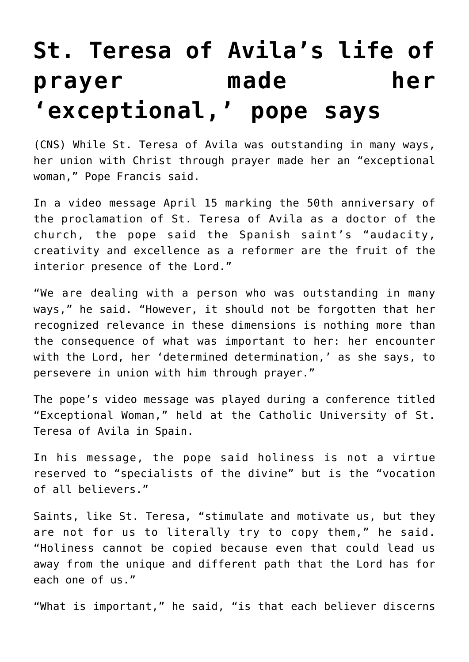## **[St. Teresa of Avila's life of](https://www.osvnews.com/2021/04/16/st-teresa-of-avilas-life-of-prayer-made-her-exceptional-pope-says/) [prayer made her](https://www.osvnews.com/2021/04/16/st-teresa-of-avilas-life-of-prayer-made-her-exceptional-pope-says/) ['exceptional,' pope says](https://www.osvnews.com/2021/04/16/st-teresa-of-avilas-life-of-prayer-made-her-exceptional-pope-says/)**

(CNS) While St. Teresa of Avila was outstanding in many ways, her union with Christ through prayer made her an "exceptional woman," Pope Francis said.

In a video message April 15 marking the 50th anniversary of the proclamation of St. Teresa of Avila as a doctor of the church, the pope said the Spanish saint's "audacity, creativity and excellence as a reformer are the fruit of the interior presence of the Lord."

"We are dealing with a person who was outstanding in many ways," he said. "However, it should not be forgotten that her recognized relevance in these dimensions is nothing more than the consequence of what was important to her: her encounter with the Lord, her 'determined determination,' as she says, to persevere in union with him through prayer."

The pope's video message was played during a conference titled "Exceptional Woman," held at the Catholic University of St. Teresa of Avila in Spain.

In his message, the pope said holiness is not a virtue reserved to "specialists of the divine" but is the "vocation of all believers."

Saints, like St. Teresa, "stimulate and motivate us, but they are not for us to literally try to copy them," he said. "Holiness cannot be copied because even that could lead us away from the unique and different path that the Lord has for each one of us."

"What is important," he said, "is that each believer discerns